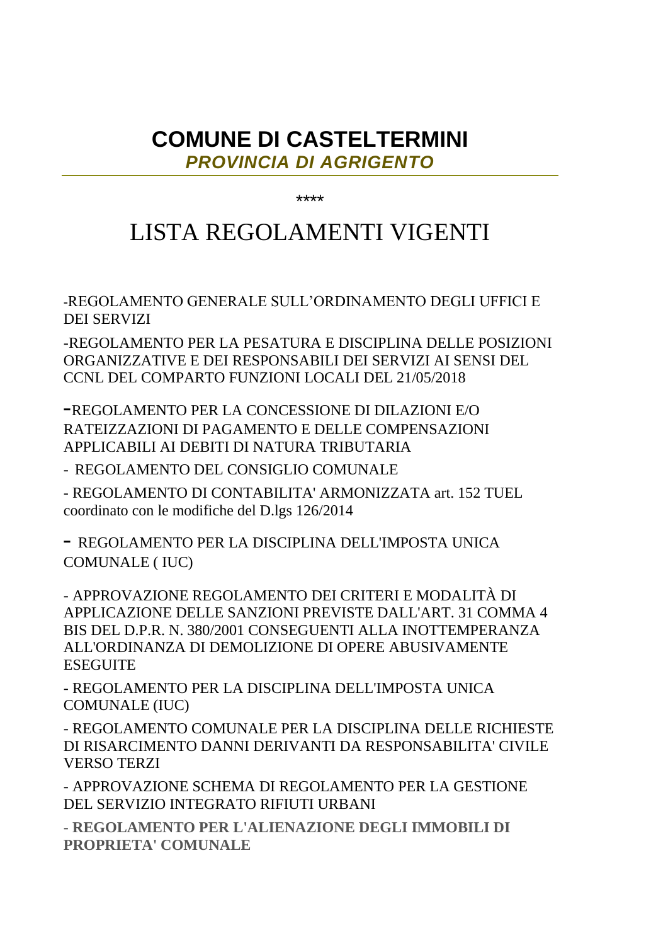## **COMUNE DI CASTELTERMINI** *PROVINCIA DI AGRIGENTO*

\*\*\*\*

## LISTA REGOLAMENTI VIGENTI

-REGOLAMENTO GENERALE SULL'ORDINAMENTO DEGLI UFFICI E DEI SERVIZI

-REGOLAMENTO PER LA PESATURA E DISCIPLINA DELLE POSIZIONI ORGANIZZATIVE E DEI RESPONSABILI DEI SERVIZI AI SENSI DEL CCNL DEL COMPARTO FUNZIONI LOCALI DEL 21/05/2018

-REGOLAMENTO PER LA CONCESSIONE DI DILAZIONI E/O RATEIZZAZIONI DI PAGAMENTO E DELLE COMPENSAZIONI APPLICABILI AI DEBITI DI NATURA TRIBUTARIA

- REGOLAMENTO DEL CONSIGLIO COMUNALE

- REGOLAMENTO DI CONTABILITA' ARMONIZZATA art. 152 TUEL coordinato con le modifiche del D.lgs 126/2014

- REGOLAMENTO PER LA DISCIPLINA DELL'IMPOSTA UNICA COMUNALE ( IUC)

- APPROVAZIONE REGOLAMENTO DEI CRITERI E MODALITÀ DI APPLICAZIONE DELLE SANZIONI PREVISTE DALL'ART. 31 COMMA 4 BIS DEL D.P.R. N. 380/2001 CONSEGUENTI ALLA INOTTEMPERANZA ALL'ORDINANZA DI DEMOLIZIONE DI OPERE ABUSIVAMENTE **ESEGUITE** 

- REGOLAMENTO PER LA DISCIPLINA DELL'IMPOSTA UNICA COMUNALE (IUC)

- REGOLAMENTO COMUNALE PER LA DISCIPLINA DELLE RICHIESTE DI RISARCIMENTO DANNI DERIVANTI DA RESPONSABILITA' CIVILE VERSO TERZI

- APPROVAZIONE SCHEMA DI REGOLAMENTO PER LA GESTIONE DEL SERVIZIO INTEGRATO RIFIUTI URBANI

**- REGOLAMENTO PER L'ALIENAZIONE DEGLI IMMOBILI DI PROPRIETA' COMUNALE**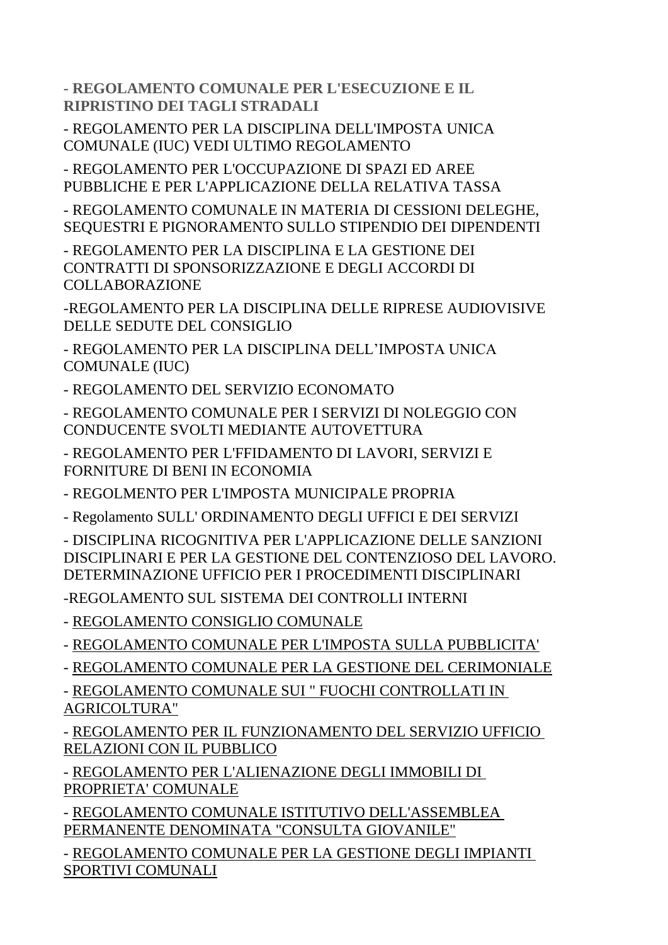**- REGOLAMENTO COMUNALE PER L'ESECUZIONE E IL RIPRISTINO DEI TAGLI STRADALI**

- REGOLAMENTO PER LA DISCIPLINA DELL'IMPOSTA UNICA COMUNALE (IUC) VEDI ULTIMO REGOLAMENTO

- REGOLAMENTO PER L'OCCUPAZIONE DI SPAZI ED AREE PUBBLICHE E PER L'APPLICAZIONE DELLA RELATIVA TASSA

- REGOLAMENTO COMUNALE IN MATERIA DI CESSIONI DELEGHE, SEQUESTRI E PIGNORAMENTO SULLO STIPENDIO DEI DIPENDENTI

- REGOLAMENTO PER LA DISCIPLINA E LA GESTIONE DEI CONTRATTI DI SPONSORIZZAZIONE E DEGLI ACCORDI DI COLLABORAZIONE

-REGOLAMENTO PER LA DISCIPLINA DELLE RIPRESE AUDIOVISIVE DELLE SEDUTE DEL CONSIGLIO

- REGOLAMENTO PER LA DISCIPLINA DELL'IMPOSTA UNICA COMUNALE (IUC)

- REGOLAMENTO DEL SERVIZIO ECONOMATO

- REGOLAMENTO COMUNALE PER I SERVIZI DI NOLEGGIO CON CONDUCENTE SVOLTI MEDIANTE AUTOVETTURA

- REGOLAMENTO PER L'FFIDAMENTO DI LAVORI, SERVIZI E FORNITURE DI BENI IN ECONOMIA

- REGOLMENTO PER L'IMPOSTA MUNICIPALE PROPRIA

- Regolamento SULL' ORDINAMENTO DEGLI UFFICI E DEI SERVIZI

- DISCIPLINA RICOGNITIVA PER L'APPLICAZIONE DELLE SANZIONI DISCIPLINARI E PER LA GESTIONE DEL CONTENZIOSO DEL LAVORO. DETERMINAZIONE UFFICIO PER I PROCEDIMENTI DISCIPLINARI

-REGOLAMENTO SUL SISTEMA DEI CONTROLLI INTERNI

- [REGOLAMENTO CONSIGLIO COMUNALE](http://www.comune.casteltermini.ag.it/home/images/stories/regolamento_consiglio_comunale_ultima_stesura_pubblicato_albo.pdf)

- [REGOLAMENTO COMUNALE PER L'IMPOSTA SULLA PUBBLICITA'](http://www.comune.casteltermini.ag.it/home/images/stories/regolamento_imposta_pubblicita.pdf)

- [REGOLAMENTO COMUNALE PER LA GESTIONE DEL CERIMONIALE](http://www.comune.casteltermini.ag.it/home/images/stories/Reg._disciplina_e_gestione_del_cerimoniale.pdf)

- [REGOLAMENTO COMUNALE SUI](http://www.comune.casteltermini.ag.it/home/images/stories/Reg._fuochi_contr.in_agricoltura.pdf) " FUOCHI CONTROLLATI IN [AGRICOLTURA"](http://www.comune.casteltermini.ag.it/home/images/stories/Reg._fuochi_contr.in_agricoltura.pdf)

- [REGOLAMENTO PER IL FUNZIONAMENTO DEL SERVIZIO UFFICIO](http://www.comune.casteltermini.ag.it/home/images/stories/regolamento_U.R.P.pdf)  [RELAZIONI CON IL PUBBLICO](http://www.comune.casteltermini.ag.it/home/images/stories/regolamento_U.R.P.pdf)

- [REGOLAMENTO PER L'ALIENAZIONE DEGLI IMMOBILI DI](http://www.comune.casteltermini.ag.it/home/images/stories/Regolamento_alienazione_modificato_con_delib._di_C.C._n._70_del_30.pdf)  [PROPRIETA' COMUNALE](http://www.comune.casteltermini.ag.it/home/images/stories/Regolamento_alienazione_modificato_con_delib._di_C.C._n._70_del_30.pdf)

- [REGOLAMENTO COMUNALE ISTITUTIVO DELL'ASSEMBLEA](http://www.comune.casteltermini.ag.it/home/images/stories/regolamento_consultagiovanile.pdf)  [PERMANENTE DENOMINATA "CONSULTA GIOVANILE"](http://www.comune.casteltermini.ag.it/home/images/stories/regolamento_consultagiovanile.pdf)

- [REGOLAMENTO COMUNALE PER LA](http://www.comune.casteltermini.ag.it/home/images/stories/regolamento_impianti_sportivi.pdf) GESTIONE DEGLI IMPIANTI [SPORTIVI COMUNALI](http://www.comune.casteltermini.ag.it/home/images/stories/regolamento_impianti_sportivi.pdf)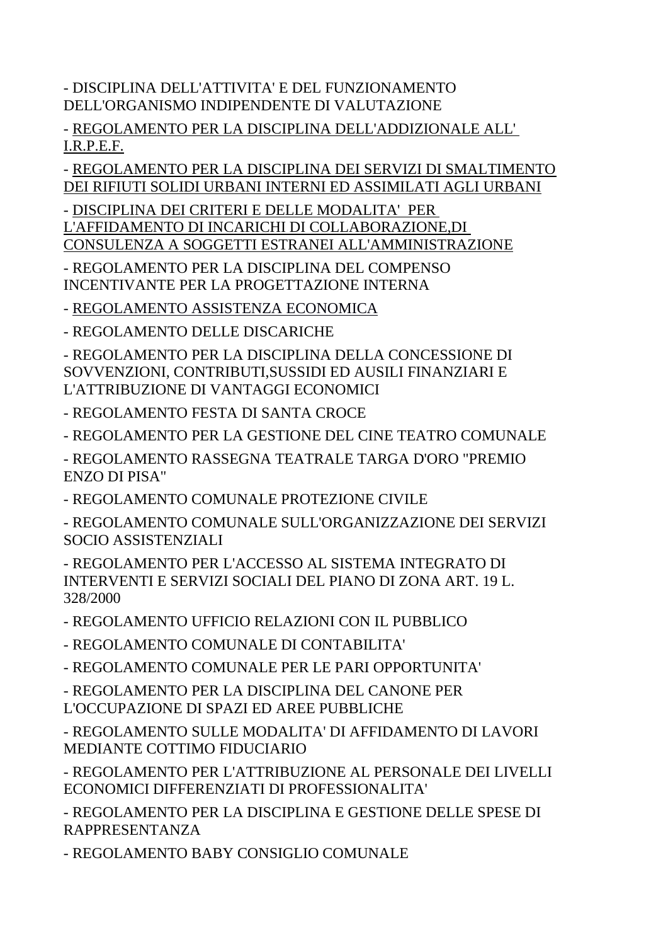- DISCIPLINA DELL'ATTIVITA' E DEL FUNZIONAMENTO DELL'ORGANISMO INDIPENDENTE DI VALUTAZIONE

- [REGOLAMENTO PER LA DISCIPLINA DELL'ADDIZIONALE ALL'](http://www.comune.casteltermini.ag.it/home/images/stories/regolamento_irpef.pdf)  [I.R.P.E.F.](http://www.comune.casteltermini.ag.it/home/images/stories/regolamento_irpef.pdf)

- [REGOLAMENTO PER LA DISCIPLINA DEI SERVIZI DI SMALTIMENTO](http://www.comune.casteltermini.ag.it/home/images/stories/regolamento_tarsu.pdf)  [DEI RIFIUTI SOLIDI URBANI INTERNI ED ASSIMILATI AGLI URBANI](http://www.comune.casteltermini.ag.it/home/images/stories/regolamento_tarsu.pdf)

- [DISCIPLINA DEI CRITERI E DELLE MODALITA' PER](http://www.comune.casteltermini.ag.it/home/images/stories/ALTRE/disciplina_criteri_incarichi.pdf)  [L'AFFIDAMENTO DI INCARICHI DI COLLABORAZIONE,DI](http://www.comune.casteltermini.ag.it/home/images/stories/ALTRE/disciplina_criteri_incarichi.pdf)  [CONSULENZA A SOGGETTI ESTRANEI ALL'AMMINISTRAZIONE](http://www.comune.casteltermini.ag.it/home/images/stories/ALTRE/disciplina_criteri_incarichi.pdf)

- REGOLAMENTO PER LA DISCIPLINA DEL COMPENSO INCENTIVANTE PER LA PROGETTAZIONE INTERNA

- [REGOLAMENTO ASSISTENZA ECONOMICA](http://www.comune.casteltermini.ag.it/home/images/stories/regolamento_assistenza_economica.pdf)

- REGOLAMENTO DELLE DISCARICHE

- REGOLAMENTO PER LA DISCIPLINA DELLA CONCESSIONE DI SOVVENZIONI, CONTRIBUTI,SUSSIDI ED AUSILI FINANZIARI E L'ATTRIBUZIONE DI VANTAGGI ECONOMICI

- REGOLAMENTO FESTA DI SANTA CROCE

- REGOLAMENTO PER LA GESTIONE DEL CINE TEATRO COMUNALE

- REGOLAMENTO RASSEGNA TEATRALE TARGA D'ORO "PREMIO ENZO DI PISA"

- REGOLAMENTO COMUNALE PROTEZIONE CIVILE

- REGOLAMENTO COMUNALE SULL'ORGANIZZAZIONE DEI SERVIZI SOCIO ASSISTENZIALI

- REGOLAMENTO PER L'ACCESSO AL SISTEMA INTEGRATO DI INTERVENTI E SERVIZI SOCIALI DEL PIANO DI ZONA ART. 19 L. 328/2000

- REGOLAMENTO UFFICIO RELAZIONI CON IL PUBBLICO

- REGOLAMENTO COMUNALE DI CONTABILITA'

- REGOLAMENTO COMUNALE PER LE PARI OPPORTUNITA'

- REGOLAMENTO PER LA DISCIPLINA DEL CANONE PER L'OCCUPAZIONE DI SPAZI ED AREE PUBBLICHE

- REGOLAMENTO SULLE MODALITA' DI AFFIDAMENTO DI LAVORI MEDIANTE COTTIMO FIDUCIARIO

- REGOLAMENTO PER L'ATTRIBUZIONE AL PERSONALE DEI LIVELLI ECONOMICI DIFFERENZIATI DI PROFESSIONALITA'

- REGOLAMENTO PER LA DISCIPLINA E GESTIONE DELLE SPESE DI RAPPRESENTANZA

- REGOLAMENTO BABY CONSIGLIO COMUNALE